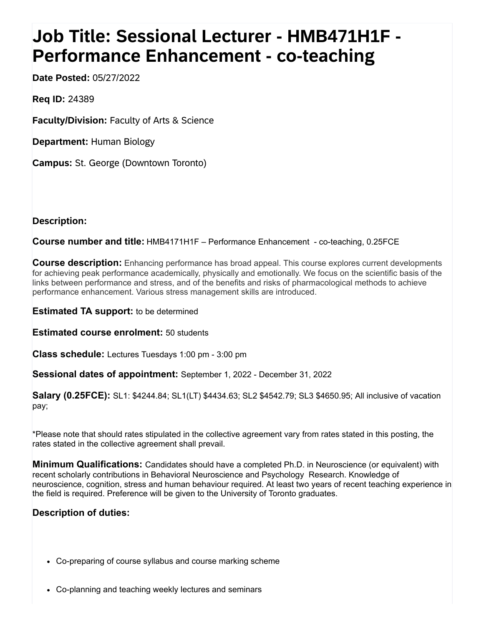## **Job Title: Sessional Lecturer - HMB471H1F - Performance Enhancement - co-teaching**

**Date Posted:** 05/27/2022

**Req ID:** 24389

**Faculty/Division:** Faculty of Arts & Science

**Department:** Human Biology

**Campus:** St. George (Downtown Toronto)

**Description:**

**Course number and title:** HMB4171H1F – Performance Enhancement - co-teaching, 0.25FCE

**Course description:** Enhancing performance has broad appeal. This course explores current developments for achieving peak performance academically, physically and emotionally. We focus on the scientific basis of the links between performance and stress, and of the benefits and risks of pharmacological methods to achieve performance enhancement. Various stress management skills are introduced.

**Estimated TA support:** to be determined

**Estimated course enrolment:** 50 students

**Class schedule:** Lectures Tuesdays 1:00 pm - 3:00 pm

**Sessional dates of appointment:** September 1, 2022 - December 31, 2022

**Salary (0.25FCE):** SL1: \$4244.84; SL1(LT) \$4434.63; SL2 \$4542.79; SL3 \$4650.95; All inclusive of vacation pay;

\*Please note that should rates stipulated in the collective agreement vary from rates stated in this posting, the rates stated in the collective agreement shall prevail.

**Minimum Qualifications:** Candidates should have a completed Ph.D. in Neuroscience (or equivalent) with recent scholarly contributions in Behavioral Neuroscience and Psychology Research. Knowledge of neuroscience, cognition, stress and human behaviour required. At least two years of recent teaching experience in the field is required. Preference will be given to the University of Toronto graduates.

## **Description of duties:**

- Co-preparing of course syllabus and course marking scheme
- Co-planning and teaching weekly lectures and seminars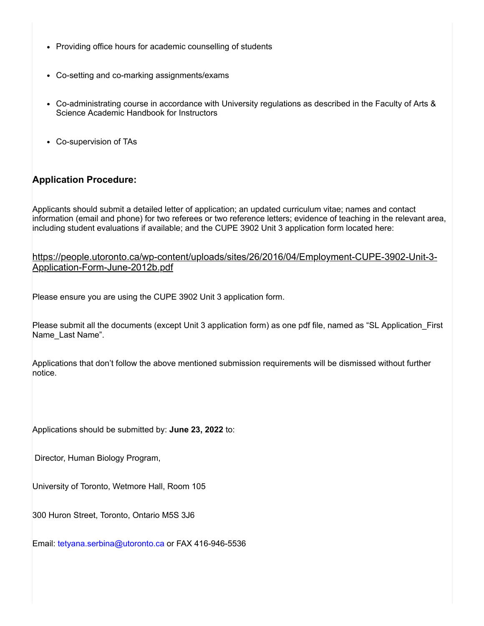- Providing office hours for academic counselling of students
- Co-setting and co-marking assignments/exams
- Co-administrating course in accordance with University regulations as described in the Faculty of Arts & Science Academic Handbook for Instructors
- Co-supervision of TAs

## **Application Procedure:**

Applicants should submit a detailed letter of application; an updated curriculum vitae; names and contact information (email and phone) for two referees or two reference letters; evidence of teaching in the relevant area, including student evaluations if available; and the CUPE 3902 Unit 3 application form located here:

[https://people.utoronto.ca/wp-content/uploads/sites/26/2016/04/Employment-CUPE-3902-Unit-3-](javascript:void(0);) Application-Form-June-2012b.pdf

Please ensure you are using the CUPE 3902 Unit 3 application form.

Please submit all the documents (except Unit 3 application form) as one pdf file, named as "SL Application\_First Name Last Name".

Applications that don't follow the above mentioned submission requirements will be dismissed without further notice.

Applications should be submitted by: **June 23, 2022** to:

Director, Human Biology Program,

University of Toronto, Wetmore Hall, Room 105

300 Huron Street, Toronto, Ontario M5S 3J6

Email: [tetyana.serbina@utoronto.ca](javascript:void(0);) or FAX 416-946-5536